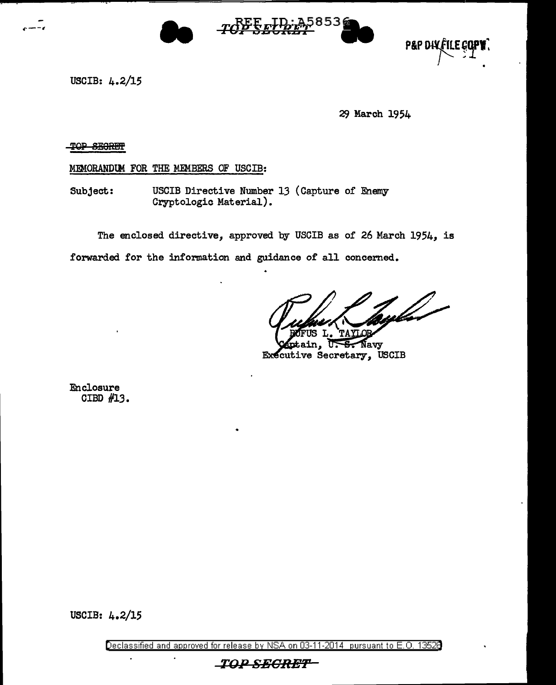





USCIB: 4.2/15

29 March 1954

TOP SEGRET

MEMORANDUM FOR THE MEMBERS OF USCIB:

Subject: USCIB Directive Number 13 (Capture of Enemy Cryptologic Material).

The enclosed directive, approved by USCIB as of 26 March 1954, is forwarded for the information and guidance of all concerned.

<u>tyl</u>

in, U<del>. S.</del> Navy Executive Secretary, USCIB

Enclosure CIBD #13.

USCIB: 4.2/15

Declassified and approved for release by NSA on 03-11-2014 pursuant to E. 0. 1352B

\_TOP\_SECRET=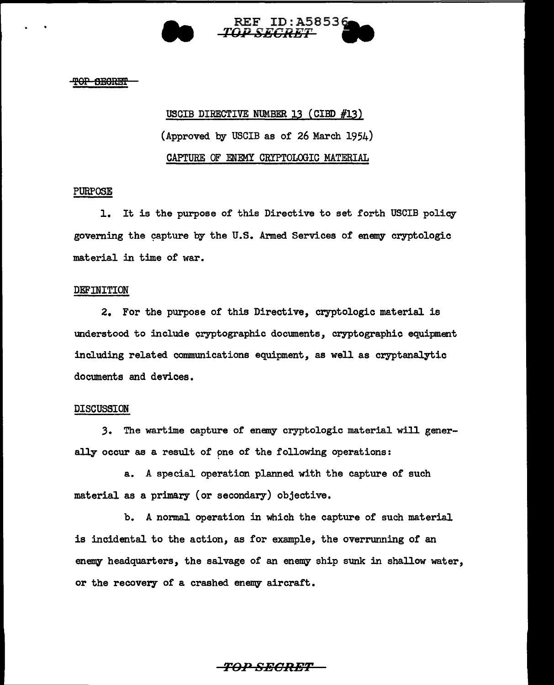

#### TOP SECRET

# USCIB DIRECTIVE NUMBER 13 ( CIBD #13) (Approved by USCIB as of 26 March 1954) CAPTURE OF ENEMY CRYPTOLOGIC MATERIAL

### PURPOSE

1. It is the purpose of this Directive to set forth USCIB policy governing the capture by the U.S. Armed Services of enemy cryptologic material in time of war.

#### DEFINITION

2. For the purpose of this Directive, cryptologic material is understood to include cryptographic documents, cryptographic equipment including related communications equipment, as well as cryptanalytic documents and devices.

#### DISCUSSION

3. The wartime capture of enemy cryptologic material will generally occur as a result of pne of the following operations:

a. A special operation planned with the capture of such material as a primary (or secondary) objective.

b. A normal operation in which the capture of such material is incidental to the action, as for example, the overrunning of an enemy headquarters, the salvage of an enemy ship sunk in shallow water, or the recovery of a crashed enemy aircraft.

### *TO:PSECRET*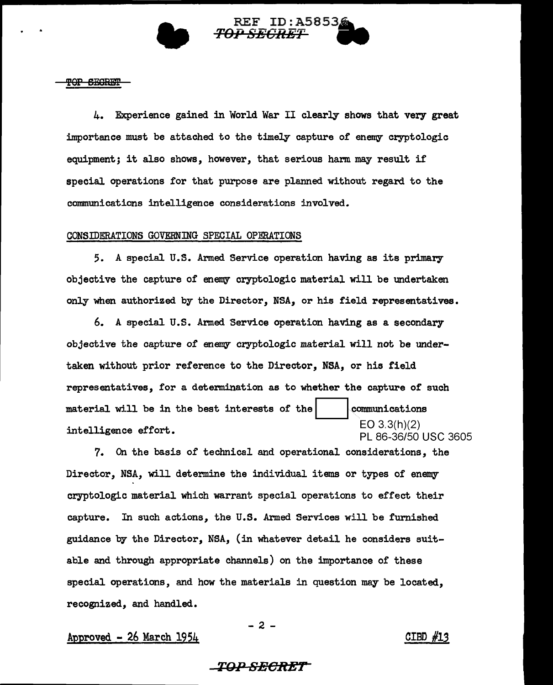



<del>TOP SEGRET</del>

4. Experience gained in World War II clearly shows that very great importance must be attached to the timely capture of enemy cryptologic equipment; it also shows, however, that serious harm may result if special operations for that purpose are planned without regard to the communications intelligence considerations involved.

### CONSIDERATIONS GOVERNING SPECIAL OPERATIONS

5. A special U.S. Armed Service operation having as its primary objective the capture of enemy cryptologic material will be undertaken only when authorized by the Director, NSA, or his field representatives.

6. A special U.S. Armed Service operation having as a secondary objective the capture of enemy cryptologic material will not be undertaken without prior reference to the Director, NSA, or his field representatives, for a determination as to whether the capture of such material will be in the best interests intelligence effort. communications EO 3.3(h)(2) PL 86-36/50 USC 3605

7. On the basis of technical and operational considerations, the Director, NSA, will determine the individual items or types of enemy cryptologic material which warrant special operations to effect their capture. In such actions, the U.S. Armed Services will be furnished guidance by the Director, NSA, (in whatever detail he considers suitable and through appropriate channels) on the importance of these special operations, and how the materials in question may be located, recognized, and handled.

Approved  $-$  26 March  $1954$  CIBD  $#13$ 

### *TOP SECRET*

 $-2 -$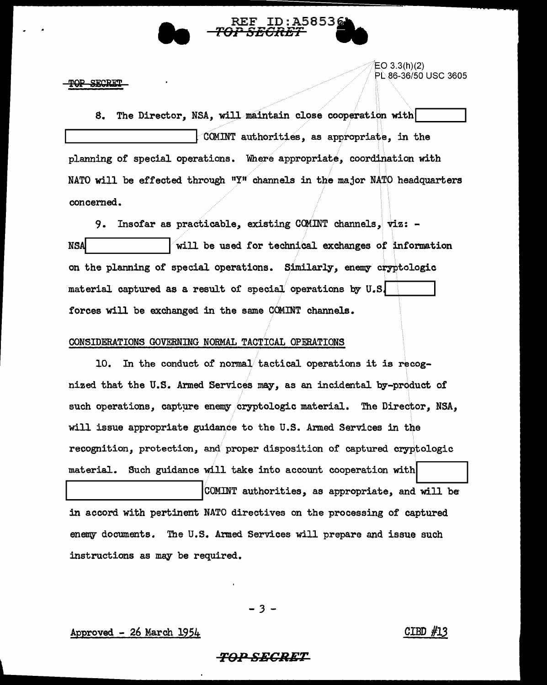

סמ **SECRE**   $EO 3.3(h)(2)$ PL .86-36/50 USC 3605

8. The Director, NSA, will maintain close cooperation with COMINT authorities, as appropriate, in the planning of special operations. Where appropriate, coordination with NATO will be effected through  $"Y''$  channels in the major NATO headquarters concerned.

9. Insofar as practicable, existing COMINT channels, viz: - NS~.\_ \_\_\_\_\_\_ ...... lwill be used for technical exchanges *ot* information on the planning of special operations. Similarly, enemy cryptologic material captured as a result of special operations by  $U.S$ . forces will be exchanged in the same COMINT channels.

### CONSIDERATIONS GOVERNING NORMAL TACTICAL OPERATIONS

10. In the conduct of normal tactical operations it is recognized that the U.S. Armed Services may, as an incidental by-product of such operations, capture enemy cryptologic material. The Director, NSA, will issue appropriate guidance to the U.S. Armed Services in the recognition, protection, and proper disposition of captured cryptologic material. Such guidance will take into account cooperation with

COMINT authorities, as appropriate, and will be in accord with pertinent NATO directives on the processing of captured enemy documents. The U.S. Armed Services will prepare and issue such instructions as may be required.

- *3* -

 $\Delta$  Approved - 26 March 1954  $\Delta$ 

### *TO:PSECRET*